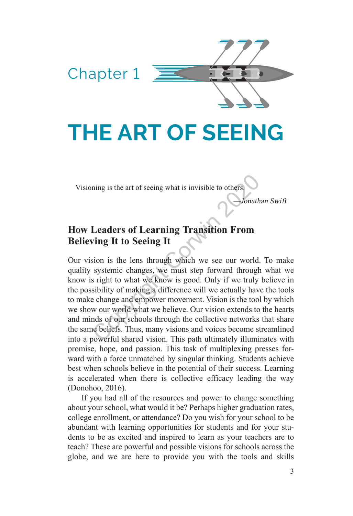# **THE ART OF SEEING**

Visioning is the art of seeing what is invisible to others.

Chapter 1

—Jonathan Swift

## **How Leaders of Learning Transition From Believing It to Seeing It**

Our vision is the lens through which we see our world. To make quality systemic changes, we must step forward through what we know is right to what we know is good. Only if we truly believe in the possibility of making a difference will we actually have the tools to make change and empower movement. Vision is the tool by which we show our world what we believe. Our vision extends to the hearts and minds of our schools through the collective networks that share the same beliefs. Thus, many visions and voices become streamlined into a powerful shared vision. This path ultimately illuminates with promise, hope, and passion. This task of multiplexing presses forward with a force unmatched by singular thinking. Students achieve best when schools believe in the potential of their success. Learning is accelerated when there is collective efficacy leading the way (Donohoo, 2016). ning is the art of seeing what is invisible to others.<br> **Leaders of Learning Transition From**<br>
ving It to Seeing It<br>
sion is the lens through which we see our world.<br>
systemic changes, we must step forward through<br>
sight t

If you had all of the resources and power to change something about your school, what would it be? Perhaps higher graduation rates, college enrollment, or attendance? Do you wish for your school to be abundant with learning opportunities for students and for your students to be as excited and inspired to learn as your teachers are to teach? These are powerful and possible visions for schools across the globe, and we are here to provide you with the tools and skills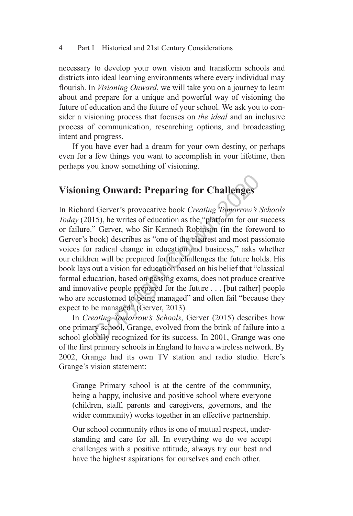necessary to develop your own vision and transform schools and districts into ideal learning environments where every individual may flourish. In *Visioning Onward*, we will take you on a journey to learn about and prepare for a unique and powerful way of visioning the future of education and the future of your school. We ask you to consider a visioning process that focuses on *the ideal* and an inclusive process of communication, researching options, and broadcasting intent and progress.

If you have ever had a dream for your own destiny, or perhaps even for a few things you want to accomplish in your lifetime, then perhaps you know something of visioning.

# **Visioning Onward: Preparing for Challenges**

In Richard Gerver's provocative book *Creating Tomorrow's Schools Today* (2015), he writes of education as the "platform for our success or failure." Gerver, who Sir Kenneth Robinson (in the foreword to Gerver's book) describes as "one of the clearest and most passionate voices for radical change in education and business," asks whether our children will be prepared for the challenges the future holds. His book lays out a vision for education based on his belief that "classical formal education, based on passing exams, does not produce creative and innovative people prepared for the future . . . [but rather] people who are accustomed to being managed" and often fail "because they expect to be managed" (Gerver, 2013). **ng Onward: Preparing for Challenges**<br>d Gerver's provocative book *Creating Tomorrow's*  $\lambda$ <br>15), he writes of education as the "platform for our" Gerver, who Sir Kenneth Robinson (in the forevook) describes as "one of th

In *Creating Tomorrow's Schools*, Gerver (2015) describes how one primary school, Grange, evolved from the brink of failure into a school globally recognized for its success. In 2001, Grange was one of the first primary schools in England to have a wireless network. By 2002, Grange had its own TV station and radio studio. Here's Grange's vision statement:

Grange Primary school is at the centre of the community, being a happy, inclusive and positive school where everyone (children, staff, parents and caregivers, governors, and the wider community) works together in an effective partnership.

Our school community ethos is one of mutual respect, understanding and care for all. In everything we do we accept challenges with a positive attitude, always try our best and have the highest aspirations for ourselves and each other.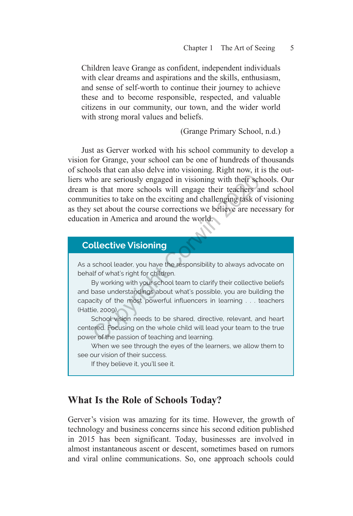Children leave Grange as confident, independent individuals with clear dreams and aspirations and the skills, enthusiasm, and sense of self‑worth to continue their journey to achieve these and to become responsible, respected, and valuable citizens in our community, our town, and the wider world with strong moral values and beliefs.

(Grange Primary School, n.d.)

Just as Gerver worked with his school community to develop a vision for Grange, your school can be one of hundreds of thousands of schools that can also delve into visioning. Right now, it is the outliers who are seriously engaged in visioning with their schools. Our dream is that more schools will engage their teachers and school communities to take on the exciting and challenging task of visioning as they set about the course corrections we believe are necessary for education in America and around the world.

# **Collective Visioning** As a school leader, you have the responsibility to always advocate on behalf of what's right for children. By working with your school team to clarify their collective beliefs and base understandings about what's possible, you are building the capacity of the most powerful influencers in learning . . . teachers (Hattie, 2009). School vision needs to be shared, directive, relevant, and heart centered. Focusing on the whole child will lead your team to the true power of the passion of teaching and learning. When we see through the eyes of the learners, we allow them to see our vision of their success. ho are seriously engaged in visioning with their scl<br>is that more schools will engage their teachers a<br>mities to take on the exciting and challenging task of<br>set about the course corrections we believe are nec<br>on in Americ

If they believe it, you'll see it.

### **What Is the Role of Schools Today?**

Gerver's vision was amazing for its time. However, the growth of technology and business concerns since his second edition published in 2015 has been significant. Today, businesses are involved in almost instantaneous ascent or descent, sometimes based on rumors and viral online communications. So, one approach schools could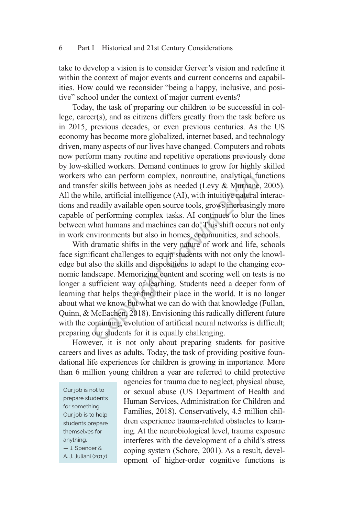take to develop a vision is to consider Gerver's vision and redefine it within the context of major events and current concerns and capabilities. How could we reconsider "being a happy, inclusive, and positive" school under the context of major current events?

Today, the task of preparing our children to be successful in col‑ lege, career(s), and as citizens differs greatly from the task before us in 2015, previous decades, or even previous centuries. As the US economy has become more globalized, internet based, and technology driven, many aspects of our lives have changed. Computers and robots now perform many routine and repetitive operations previously done by low‑skilled workers. Demand continues to grow for highly skilled workers who can perform complex, nonroutine, analytical functions and transfer skills between jobs as needed (Levy & Murnane, 2005). All the while, artificial intelligence (AI), with intuitive natural interactions and readily available open source tools, grows increasingly more capable of performing complex tasks. AI continues to blur the lines between what humans and machines can do. This shift occurs not only in work environments but also in homes, communities, and schools.

With dramatic shifts in the very nature of work and life, schools face significant challenges to equip students with not only the knowledge but also the skills and dispositions to adapt to the changing economic landscape. Memorizing content and scoring well on tests is no longer a sufficient way of learning. Students need a deeper form of learning that helps them find their place in the world. It is no longer about what we know but what we can do with that knowledge (Fullan, Quinn, & McEachen, 2018). Envisioning this radically different future with the continuing evolution of artificial neural networks is difficult; preparing our students for it is equally challenging. who can perform complex, nonroutine, analytical function and the set of the same sille, artificial intelligence (AI), with intuitive natural readily available open source tools, grows increasing f performing complex tasks.

However, it is not only about preparing students for positive careers and lives as adults. Today, the task of providing positive foun– dational life experiences for children is growing in importance. More than 6 million young children a year are referred to child protective

Our job is not to prepare students for something. Our job is to help students prepare themselves for anything. — J. Spencer & A. J. Juliani (2017)

agencies for trauma due to neglect, physical abuse, or sexual abuse (US Department of Health and Human Services, Administration for Children and Families, 2018). Conservatively, 4.5 million children experience trauma-related obstacles to learning. At the neurobiological level, trauma exposure interferes with the development of a child's stress coping system (Schore, 2001). As a result, development of higher‑order cognitive functions is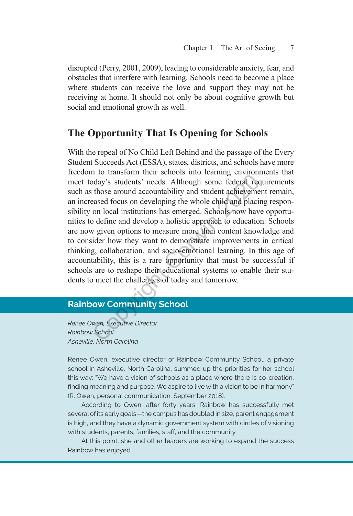disrupted (Perry, 2001, 2009), leading to considerable anxiety, fear, and obstacles that interfere with learning. Schools need to become a place where students can receive the love and support they may not be receiving at home. It should not only be about cognitive growth but social and emotional growth as well.

## **The Opportunity That Is Opening for Schools**

With the repeal of No Child Left Behind and the passage of the Every Student Succeeds Act (ESSA), states, districts, and schools have more freedom to transform their schools into learning environments that meet today's students' needs. Although some federal requirements such as those around accountability and student achievement remain, an increased focus on developing the whole child and placing responsibility on local institutions has emerged. Schools now have opportunities to define and develop a holistic approach to education. Schools are now given options to measure more than content knowledge and to consider how they want to demonstrate improvements in critical thinking, collaboration, and socio‑emotional learning. In this age of accountability, this is a rare opportunity that must be successful if schools are to reshape their educational systems to enable their students to meet the challenges of today and tomorrow. In the diality of the diality and student achievem<br>day's students' needs. Although some federal rec<br>those around accountability and student achieveme<br>assed focus on developing the whole child and placin<br>on local institutio

## **Rainbow Community School**

*Renee Owen, Executive Director Rainbow School Asheville, North Carolina* 

Renee Owen, executive director of Rainbow Community School, a private school in Asheville, North Carolina, summed up the priorities for her school this way: "We have a vision of schools as a place where there is co-creation, finding meaning and purpose. We aspire to live with a vision to be in harmony" (R. Owen, personal communication, September 2018).

According to Owen, after forty years, Rainbow has successfully met several of its early goals—the campus has doubled in size, parent engagement is high, and they have a dynamic government system with circles of visioning with students, parents, families, staff, and the community.

At this point, she and other leaders are working to expand the success Rainbow has enjoyed.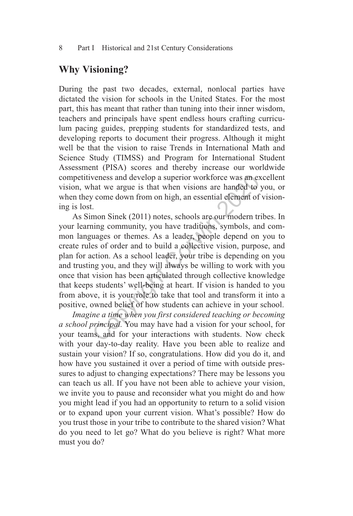### **Why Visioning?**

During the past two decades, external, nonlocal parties have dictated the vision for schools in the United States. For the most part, this has meant that rather than tuning into their inner wisdom, teachers and principals have spent endless hours crafting curriculum pacing guides, prepping students for standardized tests, and developing reports to document their progress. Although it might well be that the vision to raise Trends in International Math and Science Study (TIMSS) and Program for International Student Assessment (PISA) scores and thereby increase our worldwide competitiveness and develop a superior workforce was an excellent vision, what we argue is that when visions are handed to you, or when they come down from on high, an essential element of visioning is lost.

As Simon Sinek (2011) notes, schools are our modern tribes. In your learning community, you have traditions, symbols, and common languages or themes. As a leader, people depend on you to create rules of order and to build a collective vision, purpose, and plan for action. As a school leader, your tribe is depending on you and trusting you, and they will always be willing to work with you once that vision has been articulated through collective knowledge that keeps students' well‑being at heart. If vision is handed to you from above, it is your role to take that tool and transform it into a positive, owned belief of how students can achieve in your school. veness and develop a superior workforce was an ex-<br>hat we argue is that when visions are handed to<br>the correct correct correct correct correct come down from on high, an essential element of<br>implement Correct correct corr

*Imagine a time when you first considered teaching or becoming a school principal.* You may have had a vision for your school, for your teams, and for your interactions with students. Now check with your day-to-day reality. Have you been able to realize and sustain your vision? If so, congratulations. How did you do it, and how have you sustained it over a period of time with outside pressures to adjust to changing expectations? There may be lessons you can teach us all. If you have not been able to achieve your vision, we invite you to pause and reconsider what you might do and how you might lead if you had an opportunity to return to a solid vision or to expand upon your current vision. What's possible? How do you trust those in your tribe to contribute to the shared vision? What do you need to let go? What do you believe is right? What more must you do?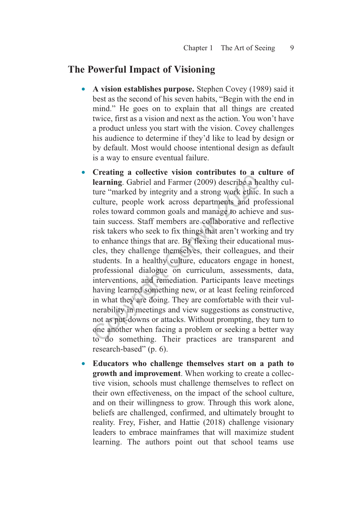#### **The Powerful Impact of Visioning**

- **A vision establishes purpose.** Stephen Covey (1989) said it best as the second of his seven habits, "Begin with the end in mind." He goes on to explain that all things are created twice, first as a vision and next as the action. You won't have a product unless you start with the vision. Covey challenges his audience to determine if they'd like to lead by design or by default. Most would choose intentional design as default is a way to ensure eventual failure.
- **Creating a collective vision contributes to a culture of**  learning. Gabriel and Farmer (2009) describe a healthy culture "marked by integrity and a strong work ethic. In such a culture, people work across departments and professional roles toward common goals and manage to achieve and sustain success. Staff members are collaborative and reflective risk takers who seek to fix things that aren't working and try to enhance things that are. By flexing their educational muscles, they challenge themselves, their colleagues, and their students. In a healthy culture, educators engage in honest, professional dialogue on curriculum, assessments, data, interventions, and remediation. Participants leave meetings having learned something new, or at least feeling reinforced in what they are doing. They are comfortable with their vulnerability in meetings and view suggestions as constructive, not as put‑downs or attacks. Without prompting, they turn to one another when facing a problem or seeking a better way to do something. Their practices are transparent and research-based" (p. 6). Creasing a conceive vision contributes to a c<br>learning. Gabriel and Farmer (2009) describe a he<br>ture "marked by integrity and a strong work ethic.<br>culture, people work across departments and pr<br>roles toward common goals an
- **Educators who challenge themselves start on a path to**  growth and improvement. When working to create a collective vision, schools must challenge themselves to reflect on their own effectiveness, on the impact of the school culture, and on their willingness to grow. Through this work alone, beliefs are challenged, confirmed, and ultimately brought to reality. Frey, Fisher, and Hattie (2018) challenge visionary leaders to embrace mainframes that will maximize student learning. The authors point out that school teams use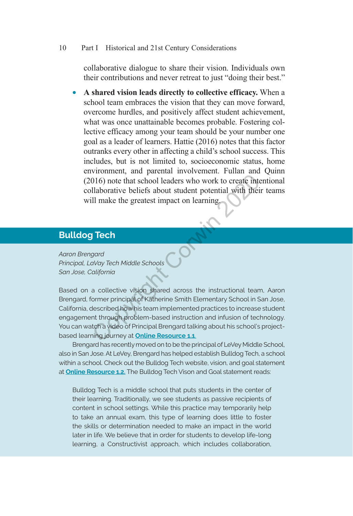collaborative dialogue to share their vision. Individuals own their contributions and never retreat to just "doing their best."

• **A shared vision leads directly to collective efficacy.** When a school team embraces the vision that they can move forward, overcome hurdles, and positively affect student achievement, what was once unattainable becomes probable. Fostering collective efficacy among your team should be your number one goal as a leader of learners. Hattie (2016) notes that this factor outranks every other in affecting a child's school success. This includes, but is not limited to, socioeconomic status, home environment, and parental involvement. Fullan and Quinn (2016) note that school leaders who work to create intentional collaborative beliefs about student potential with their teams will make the greatest impact on learning.

## **Bulldog Tech**

*Aaron Brengard Principal, LaVay Tech Middle Schools San Jose, California*

Based on a collective vision shared across the instructional team, Aaron Brengard, former principal of Katherine Smith Elementary School in San Jose, California, described how his team implemented practices to increase student engagement through problem-based instruction and infusion of technology. You can watch a video of Principal Brengard talking about his school's projectbased learning journey at **Online Resource 1.1**. 016) note that school leaders who work to create interactions<br>
1016) note that school leaders who work to create interactions<br>
11 make the greatest impact on learning,<br>
11 make the greatest impact on learning,<br>
11 **Tech**<br>

Brengard has recently moved on to be the principal of LeVey Middle School, also in San Jose. At LeVey, Brengard has helped establish Bulldog Tech, a school within a school. Check out the Bulldog Tech website, vision, and goal statement at **[Online Resource 1.2.](http://www.bulldogtech.org)** The Bulldog Tech Vison and Goal statement reads:

Bulldog Tech is a middle school that puts students in the center of their learning. Traditionally, we see students as passive recipients of content in school settings. While this practice may temporarily help to take an annual exam, this type of learning does little to foster the skills or determination needed to make an impact in the world later in life. We believe that in order for students to develop life-long learning, a Constructivist approach, which includes collaboration,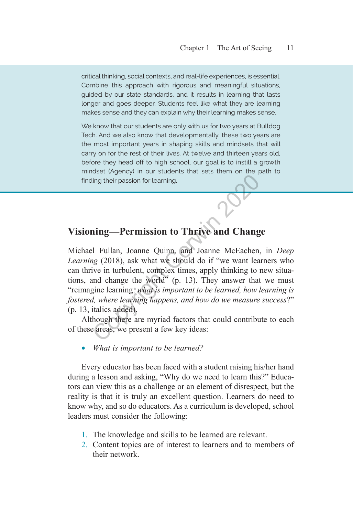critical thinking, social contexts, and real-life experiences, is essential. Combine this approach with rigorous and meaningful situations, guided by our state standards, and it results in learning that lasts longer and goes deeper. Students feel like what they are learning makes sense and they can explain why their learning makes sense.

We know that our students are only with us for two years at Bulldog Tech. And we also know that developmentally, these two years are the most important years in shaping skills and mindsets that will carry on for the rest of their lives. At twelve and thirteen years old, before they head off to high school, our goal is to instill a growth mindset (Agency) in our students that sets them on the path to finding their passion for learning.

## **Visioning—Permission to Thrive and Change**

Michael Fullan, Joanne Quinn, and Joanne McEachen, in *Deep Learning* (2018), ask what we should do if "we want learners who can thrive in turbulent, complex times, apply thinking to new situations, and change the world" (p. 13). They answer that we must "reimagine learning: *what is important to be learned, how learning is fostered, where learning happens, and how do we measure success*?" (p. 13, italics added). ing their passion for learning.<br> **and Changer Corp.** The Constant Corp. The Constant Corp.<br> **and Changer Corp.** The Corp. The Corp. The Corp. (2018), ask what we should do if "we want lea<br>
ive in turbulent, complex times,

Although there are myriad factors that could contribute to each of these areas, we present a few key ideas:

What is important to be learned?

Every educator has been faced with a student raising his/her hand during a lesson and asking, "Why do we need to learn this?" Educators can view this as a challenge or an element of disrespect, but the reality is that it is truly an excellent question. Learners do need to know why, and so do educators. As a curriculum is developed, school leaders must consider the following:

- 1. The knowledge and skills to be learned are relevant.
- 2. Content topics are of interest to learners and to members of their network.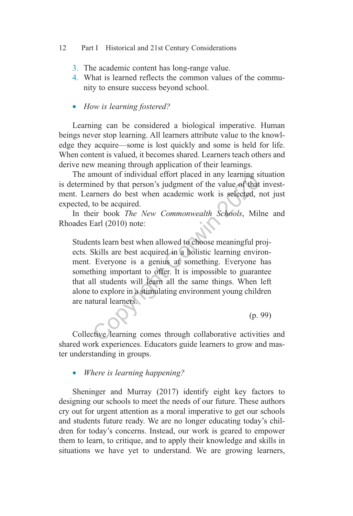- 3. The academic content has long-range value.
- 4. What is learned reflects the common values of the community to ensure success beyond school.
- • *How is learning fostered?*

Learning can be considered a biological imperative. Human beings never stop learning. All learners attribute value to the knowledge they acquire—some is lost quickly and some is held for life. When content is valued, it becomes shared. Learners teach others and derive new meaning through application of their learnings.

The amount of individual effort placed in any learning situation is determined by that person's judgment of the value of that investment. Learners do best when academic work is selected, not just expected, to be acquired.

In their book *The New Commonwealth Schools*, Milne and Rhoades Earl (2010) note:

Students learn best when allowed to choose meaningful projects. Skills are best acquired in a holistic learning environment. Everyone is a genius at something. Everyone has something important to offer. It is impossible to guarantee that all students will learn all the same things. When left alone to explore in a stimulating environment young children are natural learners. mount of maividual effort placed in any learning s<br>ned by that person's judgment of the value of that<br>arners do best when academic work is selected, 1<br>to be acquired.<br>eir book *The New Commonwealth Schools*, Mil<br>Earl (2010

Collective learning comes through collaborative activities and shared work experiences. Educators guide learners to grow and master understanding in groups.

(p. 99)

*Where is learning happening?* 

Sheninger and Murray (2017) identify eight key factors to designing our schools to meet the needs of our future. These authors cry out for urgent attention as a moral imperative to get our schools and students future ready. We are no longer educating today's children for today's concerns. Instead, our work is geared to empower them to learn, to critique, and to apply their knowledge and skills in situations we have yet to understand. We are growing learners,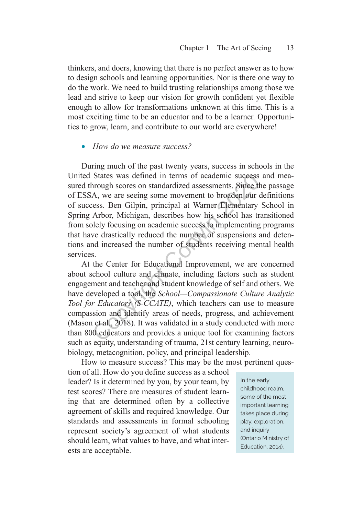thinkers, and doers, knowing that there is no perfect answer as to how to design schools and learning opportunities. Nor is there one way to do the work. We need to build trusting relationships among those we lead and strive to keep our vision for growth confident yet flexible enough to allow for transformations unknown at this time. This is a most exciting time to be an educator and to be a learner. Opportunities to grow, learn, and contribute to our world are everywhere!

#### • How do we measure success?

During much of the past twenty years, success in schools in the United States was defined in terms of academic success and measured through scores on standardized assessments. Since the passage of ESSA, we are seeing some movement to broaden our definitions of success. Ben Gilpin, principal at Warner Elementary School in Spring Arbor, Michigan, describes how his school has transitioned from solely focusing on academic success to implementing programs that have drastically reduced the number of suspensions and detentions and increased the number of students receiving mental health services. States was defined in terms of academic success<br>arough scores on standardized assessments. Since the A, we are seeing some movement to broaden our c<br>ess. Ben Gilpin, principal at Warner Elementary<br>Arbor, Michigan, describ

At the Center for Educational Improvement, we are concerned about school culture and climate, including factors such as student engagement and teacher and student knowledge of self and others. We have developed a tool, the *School—Compassionate Culture Analytic Tool for Educators (S‑CCATE)*, which teachers can use to measure compassion and identify areas of needs, progress, and achievement (Mason et al., 2018). It was validated in a study conducted with more than 800 educators and provides a unique tool for examining factors such as equity, understanding of trauma, 21st century learning, neurobiology, metacognition, policy, and principal leadership.

How to measure success? This may be the most pertinent ques

tion of all. How do you define success as a school leader? Is it determined by you, by your team, by test scores? There are measures of student learning that are determined often by a collective agreement of skills and required knowledge. Our standards and assessments in formal schooling represent society's agreement of what students should learn, what values to have, and what interests are acceptable.

In the early childhood realm, some of the most important learning takes place during play, exploration, and inquiry (Ontario Ministry of Education, 2014).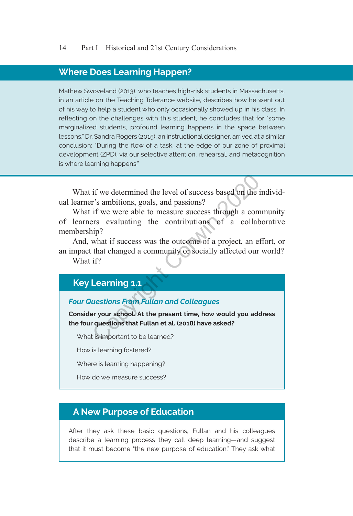#### **Where Does Learning Happen?**

Mathew Swoveland (2013), who teaches high-risk students in Massachusetts, in an article on the Teaching Tolerance website, describes how he went out of his way to help a student who only occasionally showed up in his class. In reflecting on the challenges with this student, he concludes that for "some marginalized students, profound learning happens in the space between lessons." Dr. Sandra Rogers (2015), an instructional designer, arrived at a similar conclusion: "During the flow of a task, at the edge of our zone of proximal development (ZPD), via our selective attention, rehearsal, and metacognition is where learning happens."

What if we determined the level of success based on the individual learner's ambitions, goals, and passions?

What if we were able to measure success through a community of learners evaluating the contributions of a collaborative membership? if we determined the level of success based on the individually intervally in the intervalled in the contributions of a collaborary evaluating the contributions of a collaborary evaluating the contributions of a collaborar

And, what if success was the outcome of a project, an effort, or an impact that changed a community or socially affected our world? What if?

#### **Key Learning 1.1**

#### *Four Questions From Fullan and Colleagues*

**Consider your school. At the present time, how would you address the four questions that Fullan et al. (2018) have asked?**

What is important to be learned?

How is learning fostered?

Where is learning happening?

How do we measure success?

#### **A New Purpose of Education**

After they ask these basic questions, Fullan and his colleagues describe a learning process they call deep learning—and suggest that it must become "the new purpose of education." They ask what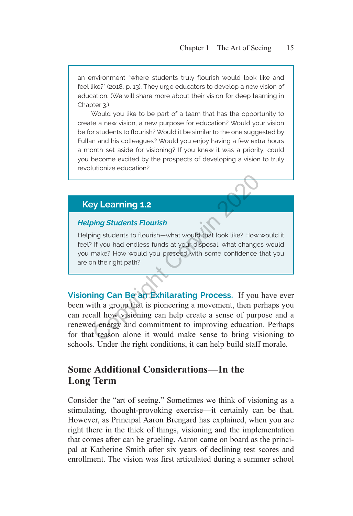an environment "where students truly flourish would look like and feel like?" (2018, p. 13). They urge educators to develop a new vision of education. (We will share more about their vision for deep learning in Chapter 3.)

Would you like to be part of a team that has the opportunity to create a new vision, a new purpose for education? Would your vision be for students to flourish? Would it be similar to the one suggested by Fullan and his colleagues? Would you enjoy having a few extra hours a month set aside for visioning? If you knew it was a priority, could you become excited by the prospects of developing a vision to truly revolutionize education?

## **Key Learning 1.2**

#### *Helping Students Flourish*

Helping students to flourish—what would that look like? How would it feel? If you had endless funds at your disposal, what changes would you make? How would you proceed with some confidence that you are on the right path?

**Visioning Can Be an Exhilarating Process.** If you have ever been with a group that is pioneering a movement, then perhaps you can recall how visioning can help create a sense of purpose and a renewed energy and commitment to improving education. Perhaps for that reason alone it would make sense to bring visioning to schools. Under the right conditions, it can help build staff morale. **Example 1.2**<br>
Survey Learning 1.2<br>
Survey Learning students to flourish—what would that look like? How<br>
If you had endless funds at your disposal, what change<br>
make? How would you proceed with some confidence to<br>
the righ

## **Some Additional Considerations—In the Long Term**

Consider the "art of seeing." Sometimes we think of visioning as a stimulating, thought-provoking exercise—it certainly can be that. However, as Principal Aaron Brengard has explained, when you are right there in the thick of things, visioning and the implementation that comes after can be grueling. Aaron came on board as the principal at Katherine Smith after six years of declining test scores and enrollment. The vision was first articulated during a summer school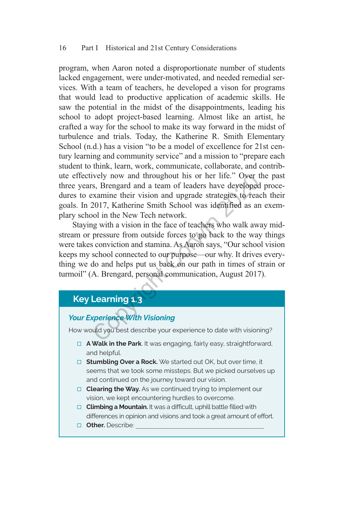program, when Aaron noted a disproportionate number of students lacked engagement, were under-motivated, and needed remedial services. With a team of teachers, he developed a vison for programs that would lead to productive application of academic skills. He saw the potential in the midst of the disappointments, leading his school to adopt project-based learning. Almost like an artist, he crafted a way for the school to make its way forward in the midst of turbulence and trials. Today, the Katherine R. Smith Elementary School (n.d.) has a vision "to be a model of excellence for 21st century learning and community service" and a mission to "prepare each student to think, learn, work, communicate, collaborate, and contribute effectively now and throughout his or her life." Over the past three years, Brengard and a team of leaders have developed procedures to examine their vision and upgrade strategies to reach their goals. In 2017, Katherine Smith School was identified as an exemplary school in the New Tech network.

Staying with a vision in the face of teachers who walk away midstream or pressure from outside forces to go back to the way things were takes conviction and stamina. As Aaron says, "Our school vision keeps my school connected to our purpose—our why. It drives everything we do and helps put us back on our path in times of strain or turmoil" (A. Brengard, personal communication, August 2017). ively now and throughout his or her life." Over t<br>s, Brengard and a team of leaders have developed<br>examine their vision and upgrade strategies to read<br>2017, Katherine Smith School was identified as an<br>pol in the New Tech n

## **Key Learning 1.3**

## *Your Experience With Visioning*

How would you best describe your experience to date with visioning?

- □ **A Walk in the Park**. It was engaging, fairly easy, straightforward, and helpful.
- □ **Stumbling Over a Rock.** We started out OK, but over time, it seems that we took some missteps. But we picked ourselves up and continued on the journey toward our vision.
- □ **Clearing the Way.** As we continued trying to implement our vision, we kept encountering hurdles to overcome.
- □ **Climbing a Mountain.** It was a difficult, uphill battle filled with differences in opinion and visions and took a great amount of effort.
- **D** Other. Describe: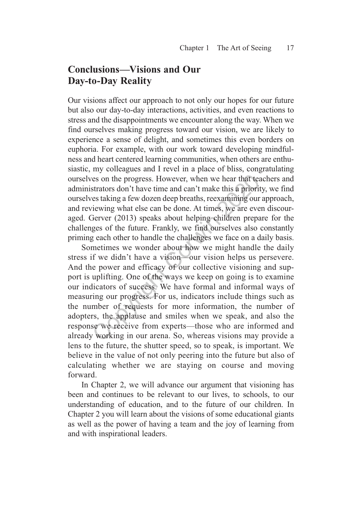## **Conclusions—Visions and Our Day‑to‑Day Reality**

Our visions affect our approach to not only our hopes for our future but also our day-to-day interactions, activities, and even reactions to stress and the disappointments we encounter along the way. When we find ourselves making progress toward our vision, we are likely to experience a sense of delight, and sometimes this even borders on euphoria. For example, with our work toward developing mindfulness and heart centered learning communities, when others are enthusiastic, my colleagues and I revel in a place of bliss, congratulating ourselves on the progress. However, when we hear that teachers and administrators don't have time and can't make this a priority, we find ourselves taking a few dozen deep breaths, reexamining our approach, and reviewing what else can be done. At times, we are even discouraged. Gerver (2013) speaks about helping children prepare for the challenges of the future. Frankly, we find ourselves also constantly priming each other to handle the challenges we face on a daily basis.

Sometimes we wonder about how we might handle the daily stress if we didn't have a vision—our vision helps us persevere. And the power and efficacy of our collective visioning and support is uplifting. One of the ways we keep on going is to examine our indicators of success. We have formal and informal ways of measuring our progress. For us, indicators include things such as the number of requests for more information, the number of adopters, the applause and smiles when we speak, and also the response we receive from experts—those who are informed and already working in our arena. So, whereas visions may provide a lens to the future, the shutter speed, so to speak, is important. We believe in the value of not only peering into the future but also of calculating whether we are staying on course and moving forward. es on the progress. However, when we hear that teastrators don't have time and can't make this a priorities taking a few dozen deep breaths, reexamining our riewing what else can be done. At times, we are eve Gerver (2013)

In Chapter 2, we will advance our argument that visioning has been and continues to be relevant to our lives, to schools, to our understanding of education, and to the future of our children. In Chapter 2 you will learn about the visions of some educational giants as well as the power of having a team and the joy of learning from and with inspirational leaders.